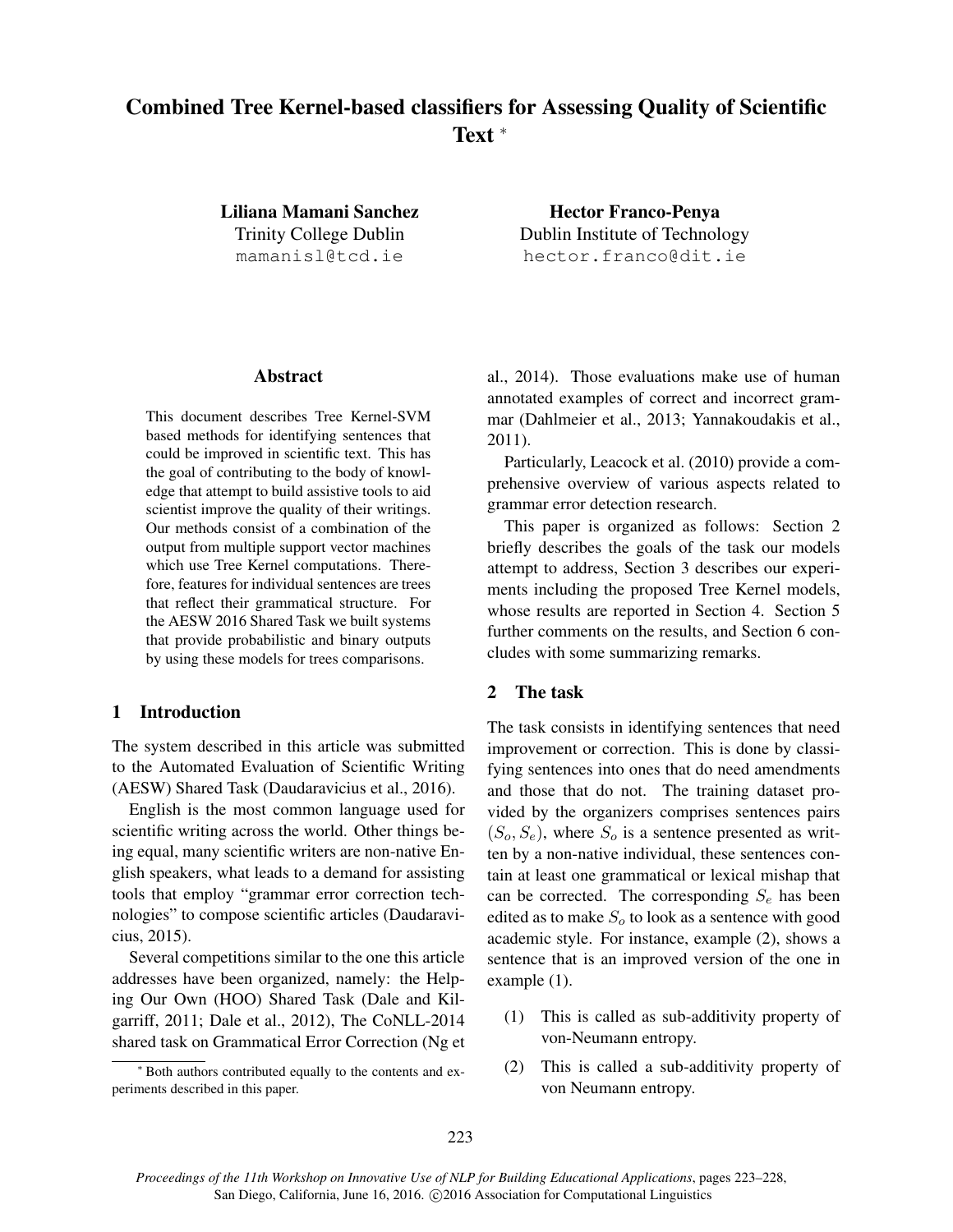# Combined Tree Kernel-based classifiers for Assessing Quality of Scientific Text <sup>∗</sup>

Liliana Mamani Sanchez Trinity College Dublin mamanisl@tcd.ie

Hector Franco-Penya Dublin Institute of Technology hector.franco@dit.ie

## Abstract

This document describes Tree Kernel-SVM based methods for identifying sentences that could be improved in scientific text. This has the goal of contributing to the body of knowledge that attempt to build assistive tools to aid scientist improve the quality of their writings. Our methods consist of a combination of the output from multiple support vector machines which use Tree Kernel computations. Therefore, features for individual sentences are trees that reflect their grammatical structure. For the AESW 2016 Shared Task we built systems that provide probabilistic and binary outputs by using these models for trees comparisons.

## 1 Introduction

The system described in this article was submitted to the Automated Evaluation of Scientific Writing (AESW) Shared Task (Daudaravicius et al., 2016).

English is the most common language used for scientific writing across the world. Other things being equal, many scientific writers are non-native English speakers, what leads to a demand for assisting tools that employ "grammar error correction technologies" to compose scientific articles (Daudaravicius, 2015).

Several competitions similar to the one this article addresses have been organized, namely: the Helping Our Own (HOO) Shared Task (Dale and Kilgarriff, 2011; Dale et al., 2012), The CoNLL-2014 shared task on Grammatical Error Correction (Ng et al., 2014). Those evaluations make use of human annotated examples of correct and incorrect grammar (Dahlmeier et al., 2013; Yannakoudakis et al., 2011).

Particularly, Leacock et al. (2010) provide a comprehensive overview of various aspects related to grammar error detection research.

This paper is organized as follows: Section 2 briefly describes the goals of the task our models attempt to address, Section 3 describes our experiments including the proposed Tree Kernel models, whose results are reported in Section 4. Section 5 further comments on the results, and Section 6 concludes with some summarizing remarks.

### 2 The task

The task consists in identifying sentences that need improvement or correction. This is done by classifying sentences into ones that do need amendments and those that do not. The training dataset provided by the organizers comprises sentences pairs  $(S_o, S_e)$ , where  $S_o$  is a sentence presented as written by a non-native individual, these sentences contain at least one grammatical or lexical mishap that can be corrected. The corresponding  $S_e$  has been edited as to make  $S<sub>o</sub>$  to look as a sentence with good academic style. For instance, example (2), shows a sentence that is an improved version of the one in example (1).

- (1) This is called as sub-additivity property of von-Neumann entropy.
- (2) This is called a sub-additivity property of von Neumann entropy.

<sup>∗</sup> Both authors contributed equally to the contents and experiments described in this paper.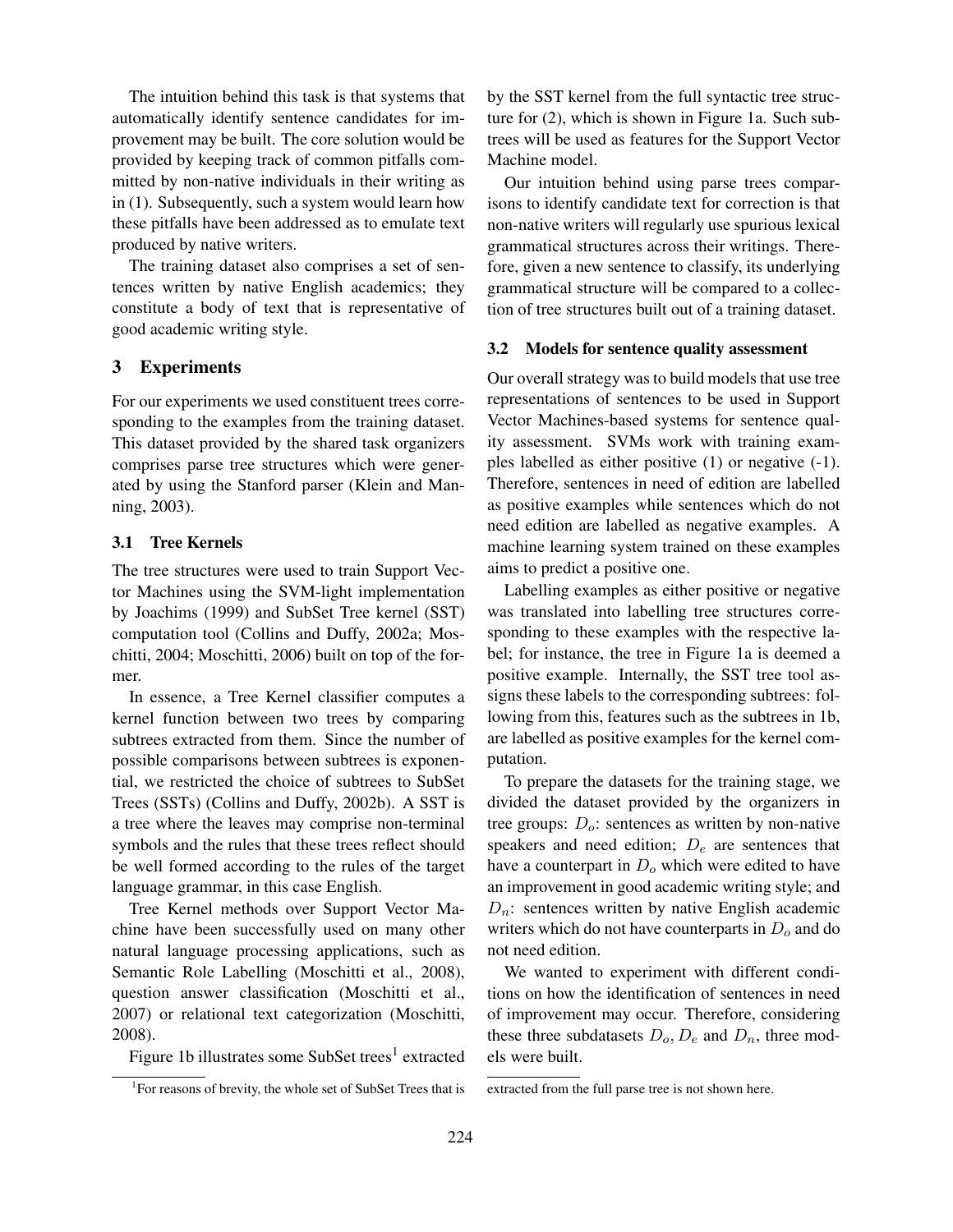The intuition behind this task is that systems that automatically identify sentence candidates for improvement may be built. The core solution would be provided by keeping track of common pitfalls committed by non-native individuals in their writing as in (1). Subsequently, such a system would learn how these pitfalls have been addressed as to emulate text produced by native writers.

The training dataset also comprises a set of sentences written by native English academics; they constitute a body of text that is representative of good academic writing style.

## 3 Experiments

For our experiments we used constituent trees corresponding to the examples from the training dataset. This dataset provided by the shared task organizers comprises parse tree structures which were generated by using the Stanford parser (Klein and Manning, 2003).

### 3.1 Tree Kernels

The tree structures were used to train Support Vector Machines using the SVM-light implementation by Joachims (1999) and SubSet Tree kernel (SST) computation tool (Collins and Duffy, 2002a; Moschitti, 2004; Moschitti, 2006) built on top of the former.

In essence, a Tree Kernel classifier computes a kernel function between two trees by comparing subtrees extracted from them. Since the number of possible comparisons between subtrees is exponential, we restricted the choice of subtrees to SubSet Trees (SSTs) (Collins and Duffy, 2002b). A SST is a tree where the leaves may comprise non-terminal symbols and the rules that these trees reflect should be well formed according to the rules of the target language grammar, in this case English.

Tree Kernel methods over Support Vector Machine have been successfully used on many other natural language processing applications, such as Semantic Role Labelling (Moschitti et al., 2008), question answer classification (Moschitti et al., 2007) or relational text categorization (Moschitti, 2008).

Figure 1b illustrates some SubSet trees $^1$  extracted

by the SST kernel from the full syntactic tree structure for (2), which is shown in Figure 1a. Such subtrees will be used as features for the Support Vector Machine model.

Our intuition behind using parse trees comparisons to identify candidate text for correction is that non-native writers will regularly use spurious lexical grammatical structures across their writings. Therefore, given a new sentence to classify, its underlying grammatical structure will be compared to a collection of tree structures built out of a training dataset.

#### 3.2 Models for sentence quality assessment

Our overall strategy was to build models that use tree representations of sentences to be used in Support Vector Machines-based systems for sentence quality assessment. SVMs work with training examples labelled as either positive (1) or negative (-1). Therefore, sentences in need of edition are labelled as positive examples while sentences which do not need edition are labelled as negative examples. A machine learning system trained on these examples aims to predict a positive one.

Labelling examples as either positive or negative was translated into labelling tree structures corresponding to these examples with the respective label; for instance, the tree in Figure 1a is deemed a positive example. Internally, the SST tree tool assigns these labels to the corresponding subtrees: following from this, features such as the subtrees in 1b, are labelled as positive examples for the kernel computation.

To prepare the datasets for the training stage, we divided the dataset provided by the organizers in tree groups:  $D<sub>o</sub>$ : sentences as written by non-native speakers and need edition;  $D_e$  are sentences that have a counterpart in  $D<sub>o</sub>$  which were edited to have an improvement in good academic writing style; and  $D_n$ : sentences written by native English academic writers which do not have counterparts in  $D<sub>o</sub>$  and do not need edition.

We wanted to experiment with different conditions on how the identification of sentences in need of improvement may occur. Therefore, considering these three subdatasets  $D_0$ ,  $D_e$  and  $D_n$ , three models were built.

<sup>&</sup>lt;sup>1</sup>For reasons of brevity, the whole set of SubSet Trees that is

extracted from the full parse tree is not shown here.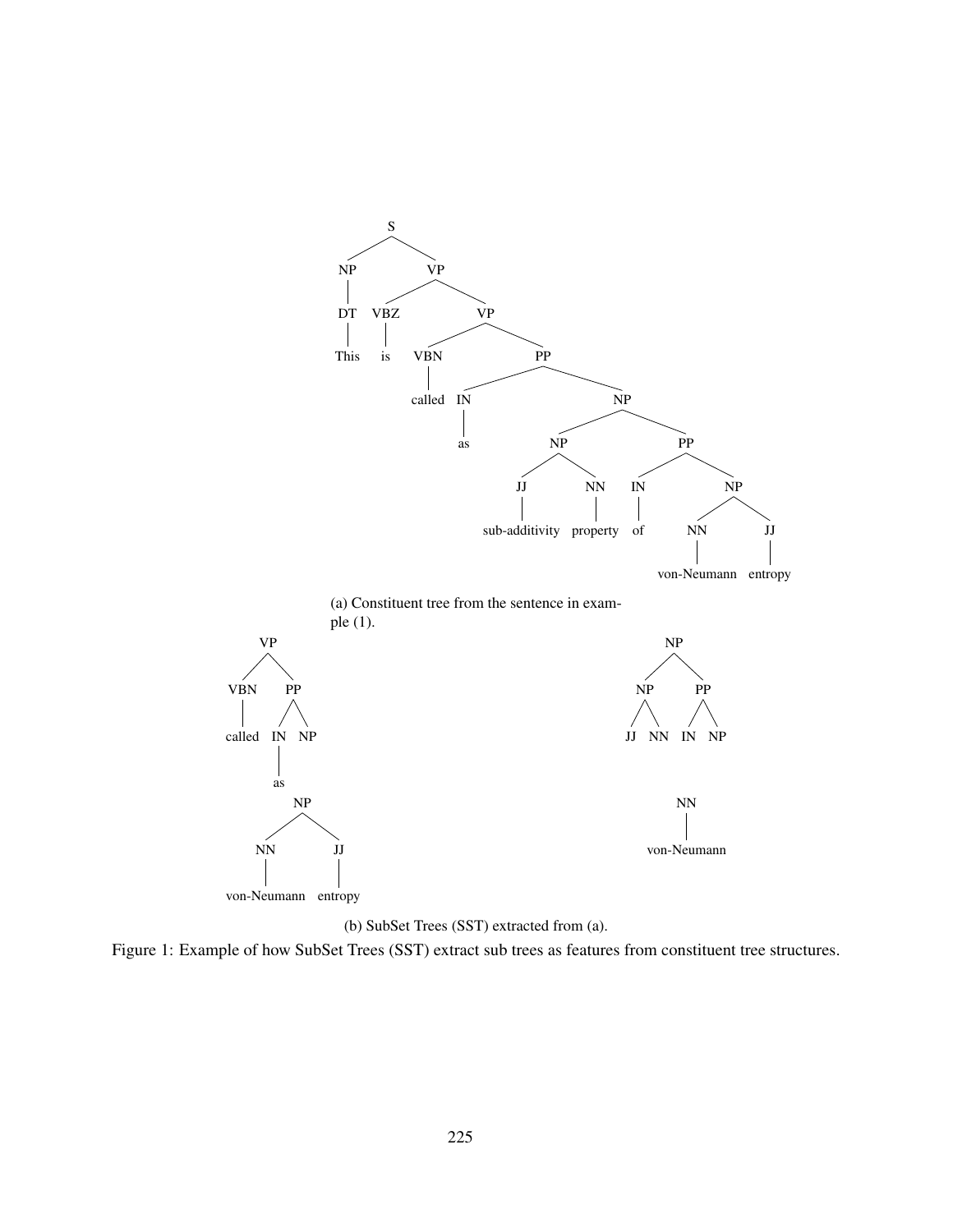



Figure 1: Example of how SubSet Trees (SST) extract sub trees as features from constituent tree structures.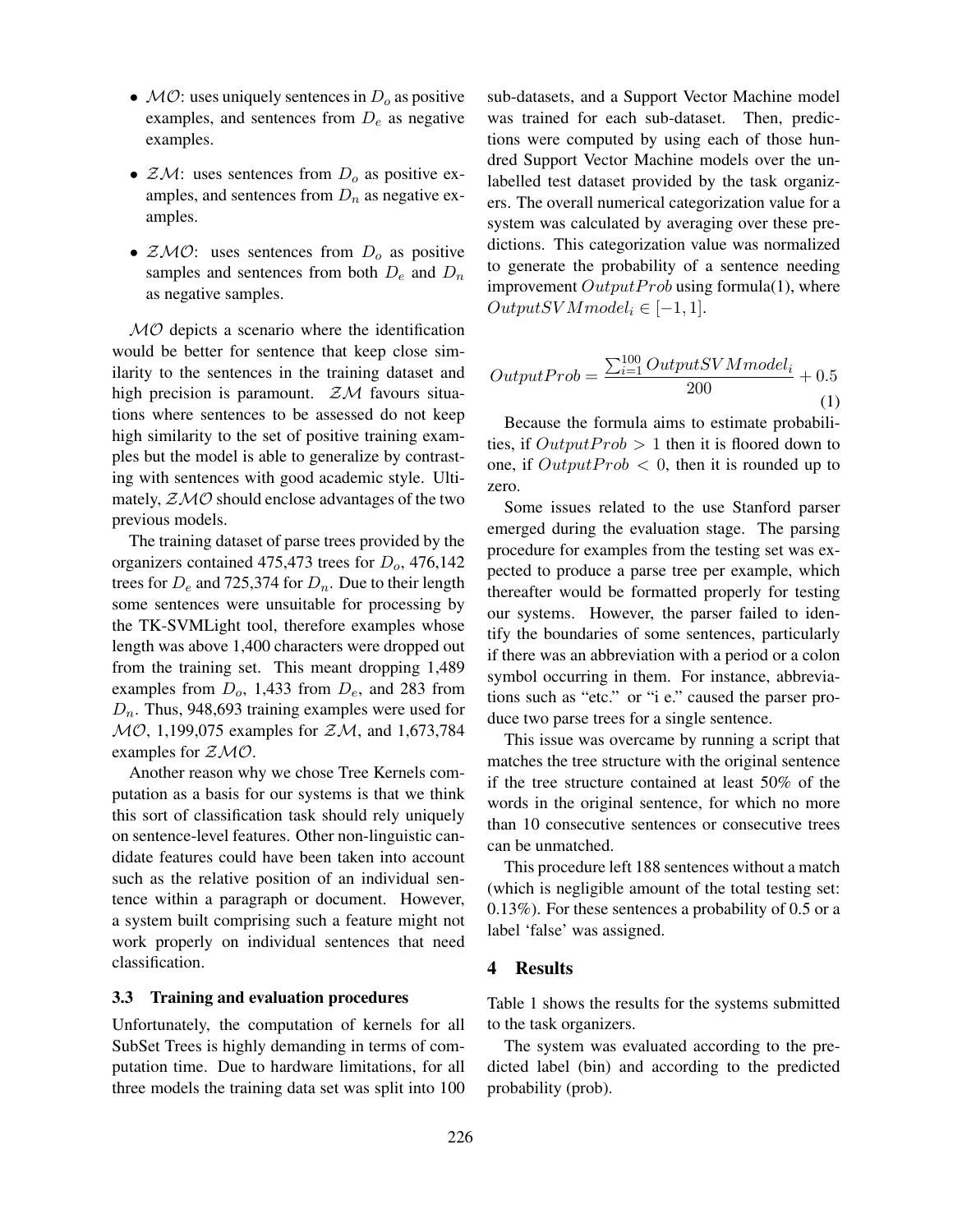- $MO$ : uses uniquely sentences in  $D<sub>o</sub>$  as positive examples, and sentences from  $D_e$  as negative examples.
- $ZM$ : uses sentences from  $D<sub>o</sub>$  as positive examples, and sentences from  $D_n$  as negative examples.
- $ZMO$ : uses sentences from  $D<sub>o</sub>$  as positive samples and sentences from both  $D_e$  and  $D_n$ as negative samples.

 $MO$  depicts a scenario where the identification would be better for sentence that keep close similarity to the sentences in the training dataset and high precision is paramount.  $ZM$  favours situations where sentences to be assessed do not keep high similarity to the set of positive training examples but the model is able to generalize by contrasting with sentences with good academic style. Ultimately,  $ZMO$  should enclose advantages of the two previous models.

The training dataset of parse trees provided by the organizers contained 475,473 trees for  $D_0$ , 476,142 trees for  $D_e$  and 725,374 for  $D_n$ . Due to their length some sentences were unsuitable for processing by the TK-SVMLight tool, therefore examples whose length was above 1,400 characters were dropped out from the training set. This meant dropping 1,489 examples from  $D_0$ , 1,433 from  $D_e$ , and 283 from  $D_n$ . Thus, 948,693 training examples were used for  $MO$ , 1,199,075 examples for  $ZM$ , and 1,673,784 examples for  $ZMO$ .

Another reason why we chose Tree Kernels computation as a basis for our systems is that we think this sort of classification task should rely uniquely on sentence-level features. Other non-linguistic candidate features could have been taken into account such as the relative position of an individual sentence within a paragraph or document. However, a system built comprising such a feature might not work properly on individual sentences that need classification.

#### 3.3 Training and evaluation procedures

Unfortunately, the computation of kernels for all SubSet Trees is highly demanding in terms of computation time. Due to hardware limitations, for all three models the training data set was split into 100 sub-datasets, and a Support Vector Machine model was trained for each sub-dataset. Then, predictions were computed by using each of those hundred Support Vector Machine models over the unlabelled test dataset provided by the task organizers. The overall numerical categorization value for a system was calculated by averaging over these predictions. This categorization value was normalized to generate the probability of a sentence needing improvement  $Output$ Prob using formula(1), where  $OutputSVMmodel_i \in [-1,1].$ 

$$
OutputProb = \frac{\sum_{i=1}^{100} OutputSVM model_i}{200} + 0.5
$$
\n(1)

Because the formula aims to estimate probabilities, if  $Output Prob > 1$  then it is floored down to one, if  $Output Prob < 0$ , then it is rounded up to zero.

Some issues related to the use Stanford parser emerged during the evaluation stage. The parsing procedure for examples from the testing set was expected to produce a parse tree per example, which thereafter would be formatted properly for testing our systems. However, the parser failed to identify the boundaries of some sentences, particularly if there was an abbreviation with a period or a colon symbol occurring in them. For instance, abbreviations such as "etc." or "i e." caused the parser produce two parse trees for a single sentence.

This issue was overcame by running a script that matches the tree structure with the original sentence if the tree structure contained at least 50% of the words in the original sentence, for which no more than 10 consecutive sentences or consecutive trees can be unmatched.

This procedure left 188 sentences without a match (which is negligible amount of the total testing set: 0.13%). For these sentences a probability of 0.5 or a label 'false' was assigned.

#### 4 Results

Table 1 shows the results for the systems submitted to the task organizers.

The system was evaluated according to the predicted label (bin) and according to the predicted probability (prob).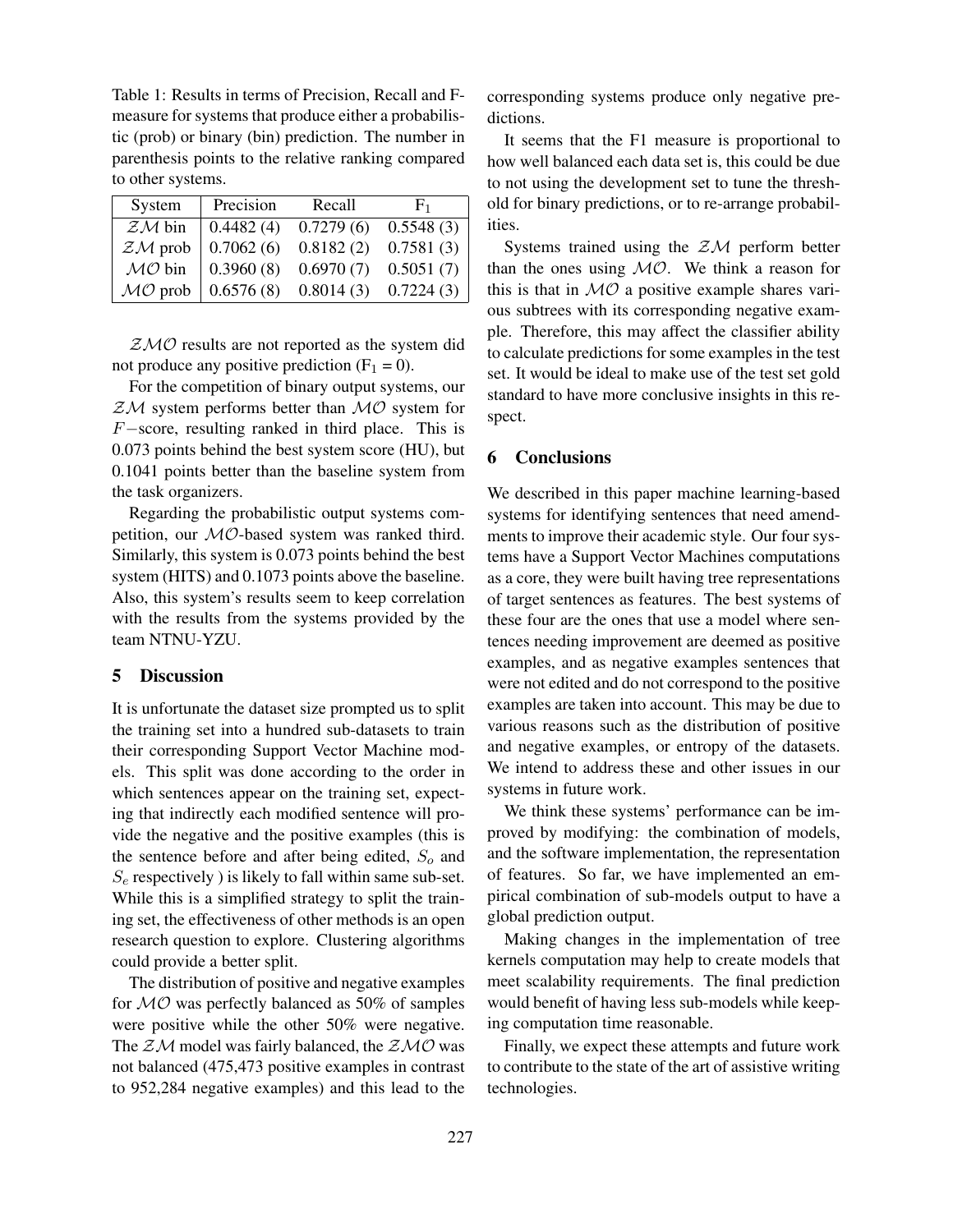Table 1: Results in terms of Precision, Recall and Fmeasure for systems that produce either a probabilistic (prob) or binary (bin) prediction. The number in parenthesis points to the relative ranking compared to other systems.

| System    | Precision | Recall    | $F_1$     |
|-----------|-----------|-----------|-----------|
| $ZM$ bin  | 0.4482(4) | 0.7279(6) | 0.5548(3) |
| $ZM$ prob | 0.7062(6) | 0.8182(2) | 0.7581(3) |
| $MO$ bin  | 0.3960(8) | 0.6970(7) | 0.5051(7) |
| $MO$ prob | 0.6576(8) | 0.8014(3) | 0.7224(3) |

 $ZMO$  results are not reported as the system did not produce any positive prediction  $(F_1 = 0)$ .

For the competition of binary output systems, our  $ZM$  system performs better than  $MO$  system for F−score, resulting ranked in third place. This is 0.073 points behind the best system score (HU), but 0.1041 points better than the baseline system from the task organizers.

Regarding the probabilistic output systems competition, our MO-based system was ranked third. Similarly, this system is 0.073 points behind the best system (HITS) and 0.1073 points above the baseline. Also, this system's results seem to keep correlation with the results from the systems provided by the team NTNU-YZU.

# 5 Discussion

It is unfortunate the dataset size prompted us to split the training set into a hundred sub-datasets to train their corresponding Support Vector Machine models. This split was done according to the order in which sentences appear on the training set, expecting that indirectly each modified sentence will provide the negative and the positive examples (this is the sentence before and after being edited,  $S<sub>o</sub>$  and  $S_e$  respectively ) is likely to fall within same sub-set. While this is a simplified strategy to split the training set, the effectiveness of other methods is an open research question to explore. Clustering algorithms could provide a better split.

The distribution of positive and negative examples for  $MO$  was perfectly balanced as 50% of samples were positive while the other 50% were negative. The  $ZM$  model was fairly balanced, the  $ZMO$  was not balanced (475,473 positive examples in contrast to 952,284 negative examples) and this lead to the

corresponding systems produce only negative predictions.

It seems that the F1 measure is proportional to how well balanced each data set is, this could be due to not using the development set to tune the threshold for binary predictions, or to re-arrange probabilities.

Systems trained using the  $ZM$  perform better than the ones using  $MO$ . We think a reason for this is that in  $MO$  a positive example shares various subtrees with its corresponding negative example. Therefore, this may affect the classifier ability to calculate predictions for some examples in the test set. It would be ideal to make use of the test set gold standard to have more conclusive insights in this respect.

# 6 Conclusions

We described in this paper machine learning-based systems for identifying sentences that need amendments to improve their academic style. Our four systems have a Support Vector Machines computations as a core, they were built having tree representations of target sentences as features. The best systems of these four are the ones that use a model where sentences needing improvement are deemed as positive examples, and as negative examples sentences that were not edited and do not correspond to the positive examples are taken into account. This may be due to various reasons such as the distribution of positive and negative examples, or entropy of the datasets. We intend to address these and other issues in our systems in future work.

We think these systems' performance can be improved by modifying: the combination of models, and the software implementation, the representation of features. So far, we have implemented an empirical combination of sub-models output to have a global prediction output.

Making changes in the implementation of tree kernels computation may help to create models that meet scalability requirements. The final prediction would benefit of having less sub-models while keeping computation time reasonable.

Finally, we expect these attempts and future work to contribute to the state of the art of assistive writing technologies.